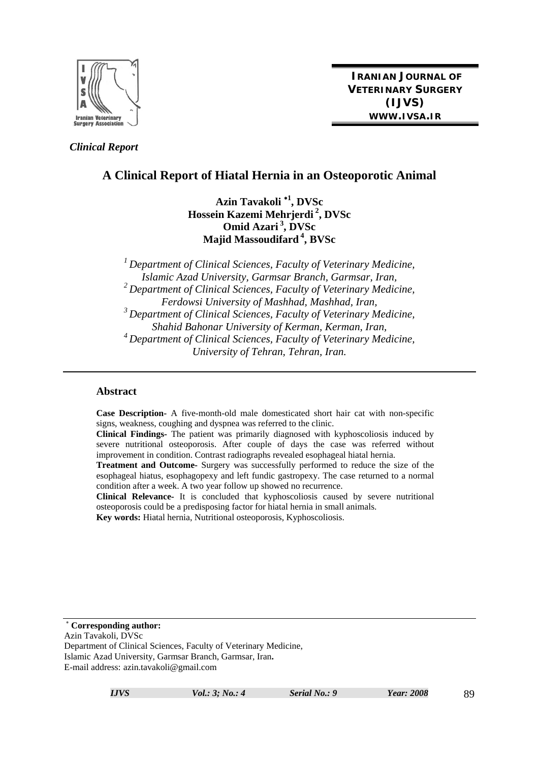

 *Clinical Report* 

**IRANIAN JOURNAL OF VETERINARY SURGERY (IJVS) WWW.IVSA.IR**

# **A Clinical Report of Hiatal Hernia in an Osteoporotic Animal**

**Azin Tavakoli <sup>1</sup> , DVSc Hossein Kazemi Mehrjerdi 2, DVSc Omid Azari 3, DVSc Majid Massoudifard 4, BVSc** 

*1 Department of Clinical Sciences, Faculty of Veterinary Medicine, Islamic Azad University, Garmsar Branch, Garmsar, Iran, 2 Department of Clinical Sciences, Faculty of Veterinary Medicine, Ferdowsi University of Mashhad, Mashhad, Iran, 3 Department of Clinical Sciences, Faculty of Veterinary Medicine, Shahid Bahonar University of Kerman, Kerman, Iran, 4 Department of Clinical Sciences, Faculty of Veterinary Medicine, University of Tehran, Tehran, Iran.* 

#### **Abstract**

**Case Description-** A five-month-old male domesticated short hair cat with non-specific signs, weakness, coughing and dyspnea was referred to the clinic.

**Clinical Findings-** The patient was primarily diagnosed with kyphoscoliosis induced by severe nutritional osteoporosis. After couple of days the case was referred without improvement in condition. Contrast radiographs revealed esophageal hiatal hernia.

**Treatment and Outcome-** Surgery was successfully performed to reduce the size of the esophageal hiatus, esophagopexy and left fundic gastropexy. The case returned to a normal condition after a week. A two year follow up showed no recurrence.

**Clinical Relevance-** It is concluded that kyphoscoliosis caused by severe nutritional osteoporosis could be a predisposing factor for hiatal hernia in small animals. **Key words:** Hiatal hernia, Nutritional osteoporosis, Kyphoscoliosis.

**Corresponding author:** 

Azin Tavakoli, DVSc

Department of Clinical Sciences, Faculty of Veterinary Medicine, Islamic Azad University, Garmsar Branch, Garmsar, Iran**.**  E-mail address: azin.tavakoli@gmail.com

*IJVS Vol.: 3; No.: 4 Serial No.: 9 Year: 2008* 89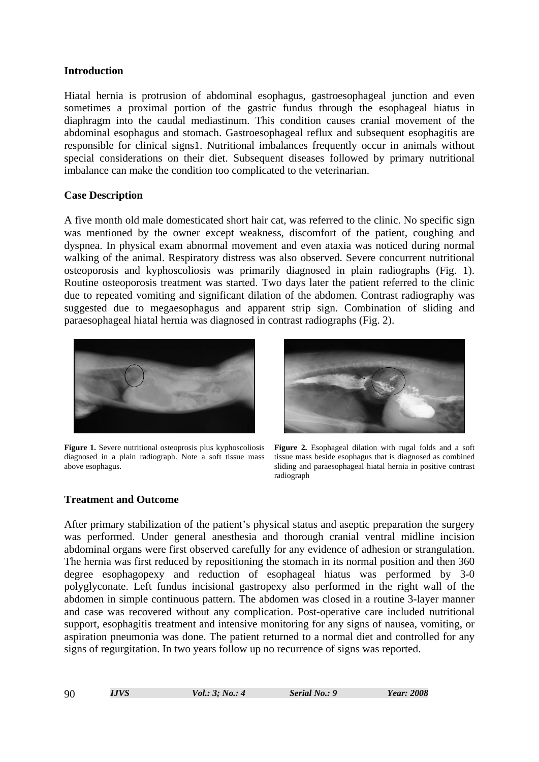#### **Introduction**

Hiatal hernia is protrusion of abdominal esophagus, gastroesophageal junction and even sometimes a proximal portion of the gastric fundus through the esophageal hiatus in diaphragm into the caudal mediastinum. This condition causes cranial movement of the abdominal esophagus and stomach. Gastroesophageal reflux and subsequent esophagitis are responsible for clinical signs1. Nutritional imbalances frequently occur in animals without special considerations on their diet. Subsequent diseases followed by primary nutritional imbalance can make the condition too complicated to the veterinarian.

### **Case Description**

A five month old male domesticated short hair cat, was referred to the clinic. No specific sign was mentioned by the owner except weakness, discomfort of the patient, coughing and dyspnea. In physical exam abnormal movement and even ataxia was noticed during normal walking of the animal. Respiratory distress was also observed. Severe concurrent nutritional osteoporosis and kyphoscoliosis was primarily diagnosed in plain radiographs (Fig. 1). Routine osteoporosis treatment was started. Two days later the patient referred to the clinic due to repeated vomiting and significant dilation of the abdomen. Contrast radiography was suggested due to megaesophagus and apparent strip sign. Combination of sliding and paraesophageal hiatal hernia was diagnosed in contrast radiographs (Fig. 2).



**Figure 1.** Severe nutritional osteoprosis plus kyphoscoliosis diagnosed in a plain radiograph. Note a soft tissue mass above esophagus.



**Figure 2.** Esophageal dilation with rugal folds and a soft tissue mass beside esophagus that is diagnosed as combined sliding and paraesophageal hiatal hernia in positive contrast radiograph

## **Treatment and Outcome**

After primary stabilization of the patient's physical status and aseptic preparation the surgery was performed. Under general anesthesia and thorough cranial ventral midline incision abdominal organs were first observed carefully for any evidence of adhesion or strangulation. The hernia was first reduced by repositioning the stomach in its normal position and then 360 degree esophagopexy and reduction of esophageal hiatus was performed by 3-0 polyglyconate. Left fundus incisional gastropexy also performed in the right wall of the abdomen in simple continuous pattern. The abdomen was closed in a routine 3-layer manner and case was recovered without any complication. Post-operative care included nutritional support, esophagitis treatment and intensive monitoring for any signs of nausea, vomiting, or aspiration pneumonia was done. The patient returned to a normal diet and controlled for any signs of regurgitation. In two years follow up no recurrence of signs was reported.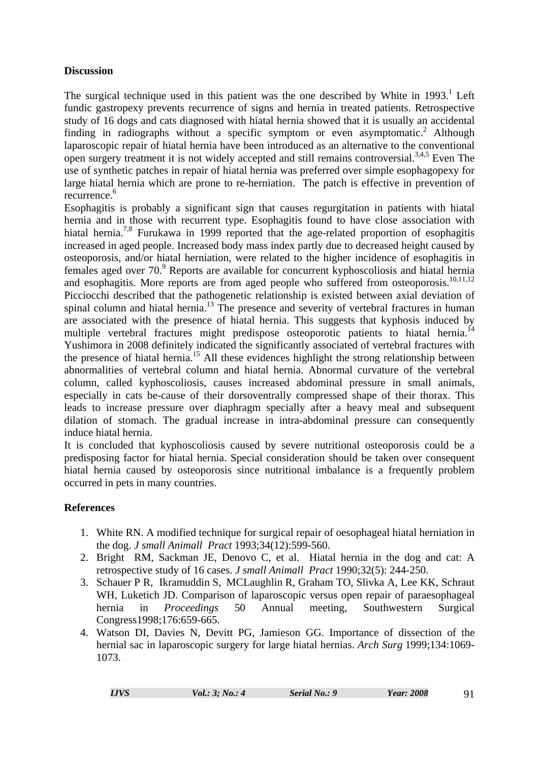## **Discussion**

The surgical technique used in this patient was the one described by White in  $1993$ .<sup>1</sup> Left fundic gastropexy prevents recurrence of signs and hernia in treated patients. Retrospective study of 16 dogs and cats diagnosed with hiatal hernia showed that it is usually an accidental finding in radiographs without a specific symptom or even asymptomatic.<sup>2</sup> Although laparoscopic repair of hiatal hernia have been introduced as an alternative to the conventional open surgery treatment it is not widely accepted and still remains controversial.<sup>3,4,5</sup> Even The use of synthetic patches in repair of hiatal hernia was preferred over simple esophagopexy for large hiatal hernia which are prone to re-herniation. The patch is effective in prevention of recurrence.<sup>6</sup>

Esophagitis is probably a significant sign that causes regurgitation in patients with hiatal hernia and in those with recurrent type. Esophagitis found to have close association with hiatal hernia.<sup>7,8</sup> Furukawa in 1999 reported that the age-related proportion of esophagitis increased in aged people. Increased body mass index partly due to decreased height caused by osteoporosis, and/or hiatal herniation, were related to the higher incidence of esophagitis in females aged over 70.<sup>9</sup> Reports are available for concurrent kyphoscoliosis and hiatal hernia and esophagitis. More reports are from aged people who suffered from osteoporosis.<sup>10,11,12</sup> Picciocchi described that the pathogenetic relationship is existed between axial deviation of spinal column and hiatal hernia.<sup>13</sup> The presence and severity of vertebral fractures in human are associated with the presence of hiatal hernia. This suggests that kyphosis induced by multiple vertebral fractures might predispose osteoporotic patients to hiatal hernia.<sup>14</sup> Yushimora in 2008 definitely indicated the significantly associated of vertebral fractures with the presence of hiatal hernia.15 All these evidences highlight the strong relationship between abnormalities of vertebral column and hiatal hernia. Abnormal curvature of the vertebral column, called kyphoscoliosis, causes increased abdominal pressure in small animals, especially in cats be-cause of their dorsoventrally compressed shape of their thorax. This leads to increase pressure over diaphragm specially after a heavy meal and subsequent dilation of stomach. The gradual increase in intra-abdominal pressure can consequently induce hiatal hernia.

It is concluded that kyphoscoliosis caused by severe nutritional osteoporosis could be a predisposing factor for hiatal hernia. Special consideration should be taken over consequent hiatal hernia caused by osteoporosis since nutritional imbalance is a frequently problem occurred in pets in many countries.

## **References**

- 1. White RN. A modified technique for surgical repair of oesophageal hiatal herniation in the dog. *J small Animall Pract* 1993;34(12):599-560.
- 2. Bright RM, Sackman JE, Denovo C, et al. Hiatal hernia in the dog and cat: A retrospective study of 16 cases. *J small Animall Pract* 1990;32(5): 244-250.
- 3. Schauer P R, Ikramuddin S, MCLaughlin R, Graham TO, Slivka A, Lee KK, Schraut WH, Luketich JD. Comparison of laparoscopic versus open repair of paraesophageal hernia in *Proceedings* 50 Annual meeting, Southwestern Surgical Congress1998;176:659-665.
- 4. Watson DI, Davies N, Devitt PG, Jamieson GG. Importance of dissection of the hernial sac in laparoscopic surgery for large hiatal hernias. *Arch Surg* 1999;134:1069- 1073.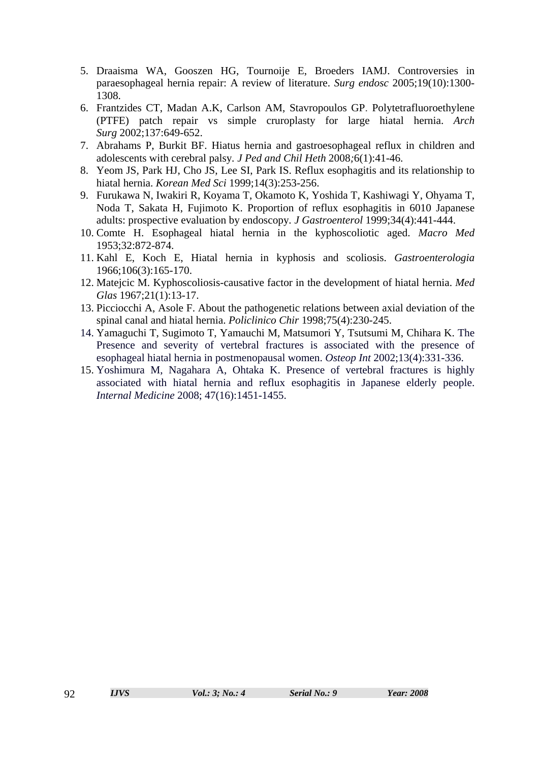- 5. Draaisma WA, Gooszen HG, Tournoije E, Broeders IAMJ. Controversies in paraesophageal hernia repair: A review of literature. *Surg endosc* 2005;19(10):1300- 1308.
- 6. Frantzides CT, Madan A.K, Carlson AM, Stavropoulos GP. Polytetrafluoroethylene (PTFE) patch repair vs simple cruroplasty for large hiatal hernia. *Arch Surg* 2002;137:649-652.
- 7. Abrahams P, Burkit BF. Hiatus hernia and gastroesophageal reflux in children and adolescents with cerebral palsy*. J Ped and Chil Heth* 2008*;*6(1):41-46.
- 8. Yeom JS, Park HJ, Cho JS, Lee SI, Park IS. Reflux esophagitis and its relationship to hiatal hernia. *Korean Med Sci* 1999;14(3):253-256.
- 9. Furukawa N, Iwakiri R, Koyama T, Okamoto K, Yoshida T, Kashiwagi Y, Ohyama T, Noda T, Sakata H, Fujimoto K. Proportion of reflux esophagitis in 6010 Japanese adults: prospective evaluation by endoscopy*. J Gastroenterol* 1999;34(4):441-444.
- 10. Comte H. Esophageal hiatal hernia in the kyphoscoliotic aged. *Macro Med* 1953;32:872-874.
- 11. Kahl E, Koch E, Hiatal hernia in kyphosis and scoliosis. *Gastroenterologia* 1966;106(3):165-170.
- 12. Matejcic M. Kyphoscoliosis-causative factor in the development of hiatal hernia. *Med Glas* 1967;21(1):13-17.
- 13. Picciocchi A, Asole F. About the pathogenetic relations between axial deviation of the spinal canal and hiatal hernia. *Policlinico Chir* 1998;75(4):230-245.
- 14. Yamaguchi T, Sugimoto T, Yamauchi M, Matsumori Y, Tsutsumi M, Chihara K. The Presence and severity of vertebral fractures is associated with the presence of esophageal hiatal hernia in postmenopausal women. *Osteop Int* 2002;13(4):331-336.
- 15. Yoshimura M, Nagahara A, Ohtaka K. Presence of vertebral fractures is highly associated with hiatal hernia and reflux esophagitis in Japanese elderly people. *Internal Medicine* 2008; 47(16):1451-1455.